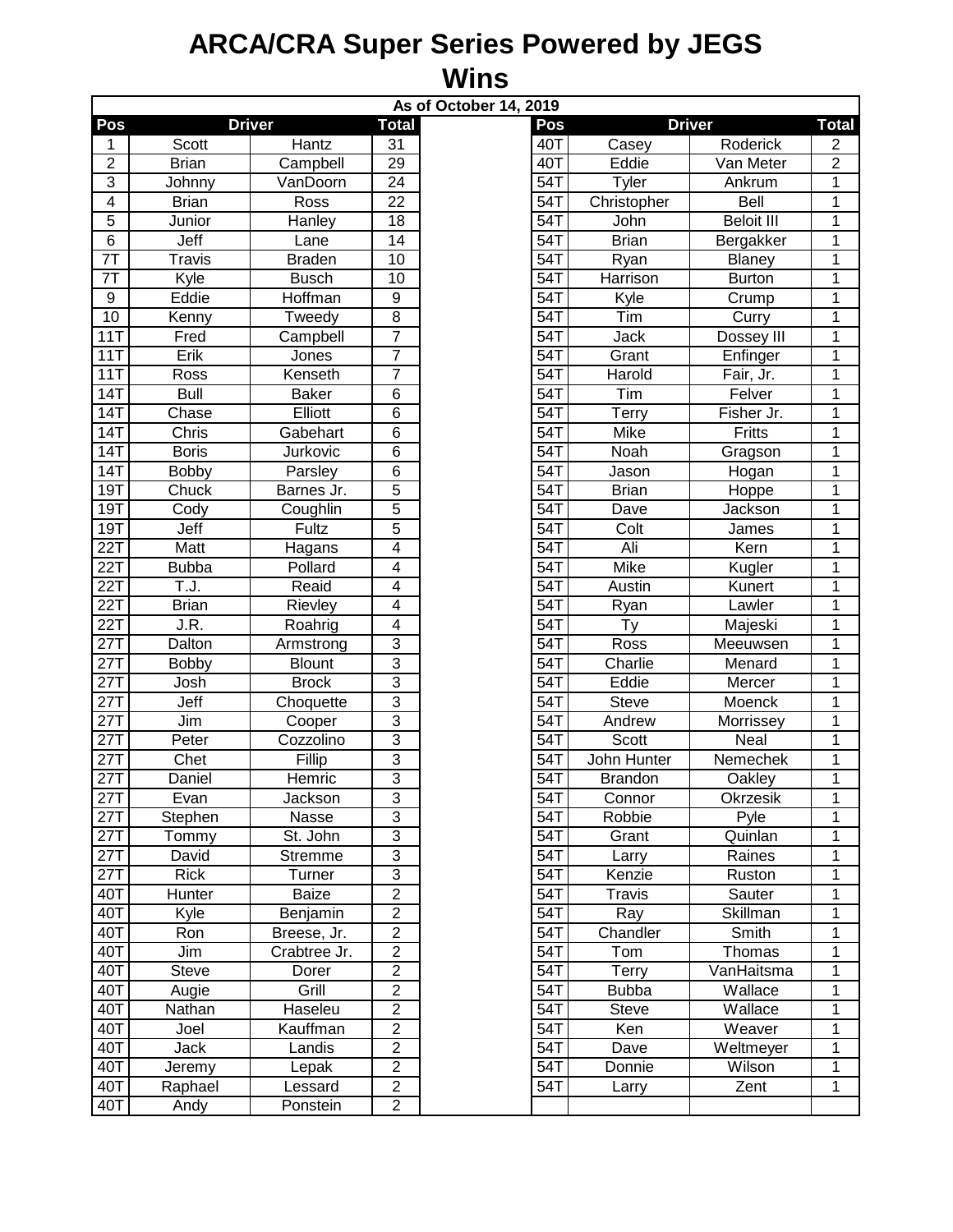## **ARCA/CRA Super Series Powered by JEGS Wins**

| As of October 14, 2019 |                   |               |                         |                   |                |                   |                |  |  |  |  |  |
|------------------------|-------------------|---------------|-------------------------|-------------------|----------------|-------------------|----------------|--|--|--|--|--|
| Pos                    |                   | <b>Driver</b> | <b>Total</b>            | Pos               | <b>Driver</b>  |                   | Total          |  |  |  |  |  |
| 1                      | Scott             | Hantz         | 31                      | 40T               | Casey          | Roderick          | 2              |  |  |  |  |  |
| $\mathbf 2$            | <b>Brian</b>      | Campbell      | 29                      | 40T               | Eddie          | Van Meter         | $\overline{2}$ |  |  |  |  |  |
| $\overline{3}$         | Johnny            | VanDoorn      | 24                      | 54T               | Tyler          | Ankrum            | 1              |  |  |  |  |  |
| $\overline{4}$         | <b>Brian</b>      | Ross          | 22                      | 54T               | Christopher    | Bell              | 1              |  |  |  |  |  |
| 5                      | Junior            | Hanley        | 18                      | 54T               | John           | <b>Beloit III</b> | 1              |  |  |  |  |  |
| $\overline{6}$         | Jeff              | Lane          | $\overline{14}$         | 54T               | <b>Brian</b>   | Bergakker         | 1              |  |  |  |  |  |
| $\overline{7}$         | <b>Travis</b>     | <b>Braden</b> | $\overline{10}$         | 54T               | Ryan           | Blaney            | 1              |  |  |  |  |  |
| 7T                     | Kyle              | <b>Busch</b>  | 10                      | 54T               | Harrison       | <b>Burton</b>     | $\mathbf 1$    |  |  |  |  |  |
| 9                      | Eddie             | Hoffman       | 9                       | 54T               | Kyle           | Crump             | 1              |  |  |  |  |  |
| 10                     | Kenny             | Tweedy        | 8                       | 54T               | Tim            | Curry             | 1              |  |  |  |  |  |
| 11T                    | Fred              | Campbell      | 7                       | 54T               | Jack           | Dossey III        | 1              |  |  |  |  |  |
| 11T                    | Erik              | Jones         | $\overline{7}$          | 54T               | Grant          | Enfinger          | 1              |  |  |  |  |  |
| 11T                    | Ross              | Kenseth       | $\overline{7}$          | 54T               | Harold         | Fair, Jr.         | 1              |  |  |  |  |  |
| 14T                    | $\overline{$ Bull | <b>Baker</b>  | 6                       | 54T               | Tim            | Felver            | 1              |  |  |  |  |  |
| 14T                    | Chase             | Elliott       | 6                       | 54T               | <b>Terry</b>   | Fisher Jr.        | 1              |  |  |  |  |  |
| 14T                    | Chris             | Gabehart      | 6                       | 54T               | Mike           | Fritts            | 1              |  |  |  |  |  |
| 14T                    | <b>Boris</b>      | Jurkovic      | 6                       | 54T               | Noah           | Gragson           | 1              |  |  |  |  |  |
| 14T                    | <b>Bobby</b>      | Parsley       | 6                       | 54T               | Jason          | Hogan             | 1              |  |  |  |  |  |
| 19T                    | Chuck             | Barnes Jr.    | 5                       | 54T               | <b>Brian</b>   | Hoppe             | 1              |  |  |  |  |  |
| 19T                    | Cody              | Coughlin      | 5                       | 54T               | Dave           | Jackson           | 1              |  |  |  |  |  |
| 19T                    | Jeff              | Fultz         | 5                       | 54T               | Colt           | James             | 1              |  |  |  |  |  |
| 22T                    | Matt              | Hagans        | 4                       | 54T               | Ali            | Kern              | 1              |  |  |  |  |  |
| 22T                    | <b>Bubba</b>      | Pollard       | $\overline{4}$          | 54T               | <b>Mike</b>    | Kugler            | 1              |  |  |  |  |  |
| 22T                    | T.J.              | Reaid         | $\overline{\mathbf{4}}$ | 54T               | Austin         | Kunert            | 1              |  |  |  |  |  |
| 22T                    | <b>Brian</b>      | Rievley       | $\overline{4}$          | 54                | Ryan           | Lawler            | 1              |  |  |  |  |  |
| 22T                    | J.R.              | Roahrig       | 4                       | 54T               | Ty             | Majeski           | 1              |  |  |  |  |  |
| 27T                    | Dalton            | Armstrong     | $\overline{3}$          | 54                | <b>Ross</b>    | Meeuwsen          | $\overline{1}$ |  |  |  |  |  |
| $\overline{27T}$       | <b>Bobby</b>      | <b>Blount</b> | $\overline{3}$          | 54T               | Charlie        | Menard            | 1              |  |  |  |  |  |
| 27T                    | Josh              | <b>Brock</b>  | $\overline{3}$          | 54T               | Eddie          | Mercer            | 1              |  |  |  |  |  |
| 27T                    | Jeff              | Choquette     | 3                       | 54T               | <b>Steve</b>   | Moenck            | 1              |  |  |  |  |  |
| 27T                    | Jim               | Cooper        | $\overline{3}$          | 54T               | Andrew         | Morrissey         | 1              |  |  |  |  |  |
| 27T                    | Peter             | Cozzolino     | $\overline{3}$          | $\overline{5}4$ T | <b>Scott</b>   | Neal              | 1              |  |  |  |  |  |
| 27T                    | Chet              | Fillip        | 3                       | 54T               | John Hunter    | Nemechek          | 1              |  |  |  |  |  |
| 27T                    | Daniel            | Hemric        | $\overline{3}$          | 54T               | <b>Brandon</b> | Oakley            | 1              |  |  |  |  |  |
| 27T                    | Evan              | Jackson       | 3                       | 54T               | Connor         | Okrzesik          | 1              |  |  |  |  |  |
| 27T                    | Stephen           | Nasse         | 3                       | 54T               | Robbie         | Pyle              | 1              |  |  |  |  |  |
| 27T                    | Tommy             | St. John      | 3                       | 54T               | Grant          | Quinlan           | 1              |  |  |  |  |  |
| 27T                    | David             | Stremme       | 3                       | 54T               | Larry          | Raines            | 1              |  |  |  |  |  |
| 27T                    | Rick              | Turner        | $\overline{3}$          | 54T               | Kenzie         | Ruston            | 1              |  |  |  |  |  |
| 40T                    | Hunter            | Baize         | $\overline{2}$          | 54T               | <b>Travis</b>  | Sauter            | 1              |  |  |  |  |  |
| 40T                    | Kyle              | Benjamin      | $\overline{2}$          | 54T               | Ray            | Skillman          | 1              |  |  |  |  |  |
| 40T                    | Ron               | Breese, Jr.   | $\overline{2}$          | 54T               | Chandler       | Smith             | 1              |  |  |  |  |  |
| 40T                    | Jim               | Crabtree Jr.  | $\overline{2}$          | 54T               | Tom            | Thomas            | 1              |  |  |  |  |  |
| 40T                    | Steve             | Dorer         | $\overline{2}$          | 54T               | Terry          | VanHaitsma        | 1              |  |  |  |  |  |
| 40T                    | Augie             | Grill         | $\overline{c}$          | 54T               | <b>Bubba</b>   | Wallace           | 1              |  |  |  |  |  |
| 40T                    | Nathan            | Haseleu       | $\overline{c}$          | 54T               | <b>Steve</b>   | Wallace           | 1              |  |  |  |  |  |
| 40T                    | Joel              | Kauffman      | $\overline{\mathbf{c}}$ | 54T               | Ken            | Weaver            | 1              |  |  |  |  |  |
| 40T                    | Jack              | Landis        | $\overline{2}$          | 54T               | Dave           | Weltmeyer         | 1              |  |  |  |  |  |
| 40T                    | Jeremy            | Lepak         | $\overline{c}$          | 54T               | Donnie         | Wilson            | 1              |  |  |  |  |  |
| 40T                    | Raphael           | Lessard       | $\overline{c}$          | 54T               | Larry          | Zent              | 1              |  |  |  |  |  |
| 40T                    | Andy              | Ponstein      | $\overline{c}$          |                   |                |                   |                |  |  |  |  |  |